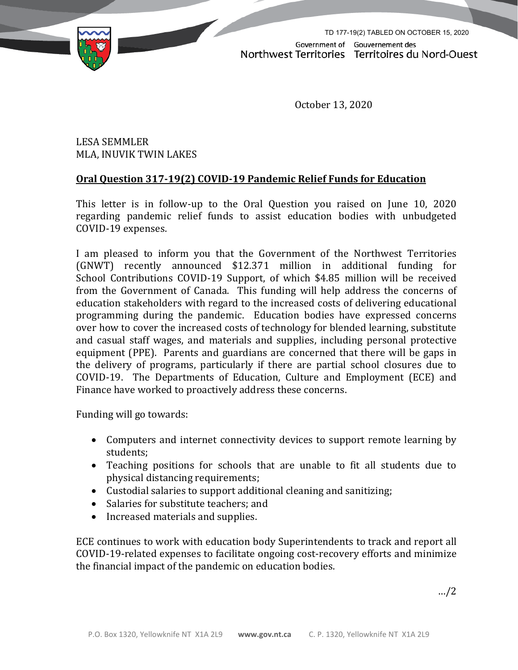

TD 177-19(2) TABLED ON OCTOBER 15, 2020Government of Gouvernement des Northwest Territories Territoires du Nord-Ouest

October 13, 2020

LESA SEMMLER MLA, INUVIK TWIN LAKES

## **Oral Question 317-19(2) COVID-19 Pandemic Relief Funds for Education**

This letter is in follow-up to the Oral Question you raised on June 10, 2020 regarding pandemic relief funds to assist education bodies with unbudgeted COVID-19 expenses.

I am pleased to inform you that the Government of the Northwest Territories (GNWT) recently announced \$12.371 million in additional funding for School Contributions COVID-19 Support, of which \$4.85 million will be received from the Government of Canada. This funding will help address the concerns of education stakeholders with regard to the increased costs of delivering educational programming during the pandemic. Education bodies have expressed concerns over how to cover the increased costs of technology for blended learning, substitute and casual staff wages, and materials and supplies, including personal protective equipment (PPE). Parents and guardians are concerned that there will be gaps in the delivery of programs, particularly if there are partial school closures due to COVID-19. The Departments of Education, Culture and Employment (ECE) and Finance have worked to proactively address these concerns.

Funding will go towards:

- Computers and internet connectivity devices to support remote learning by students;
- Teaching positions for schools that are unable to fit all students due to physical distancing requirements;
- Custodial salaries to support additional cleaning and sanitizing;
- Salaries for substitute teachers; and
- Increased materials and supplies.

ECE continues to work with education body Superintendents to track and report all COVID-19-related expenses to facilitate ongoing cost-recovery efforts and minimize the financial impact of the pandemic on education bodies.

…/2